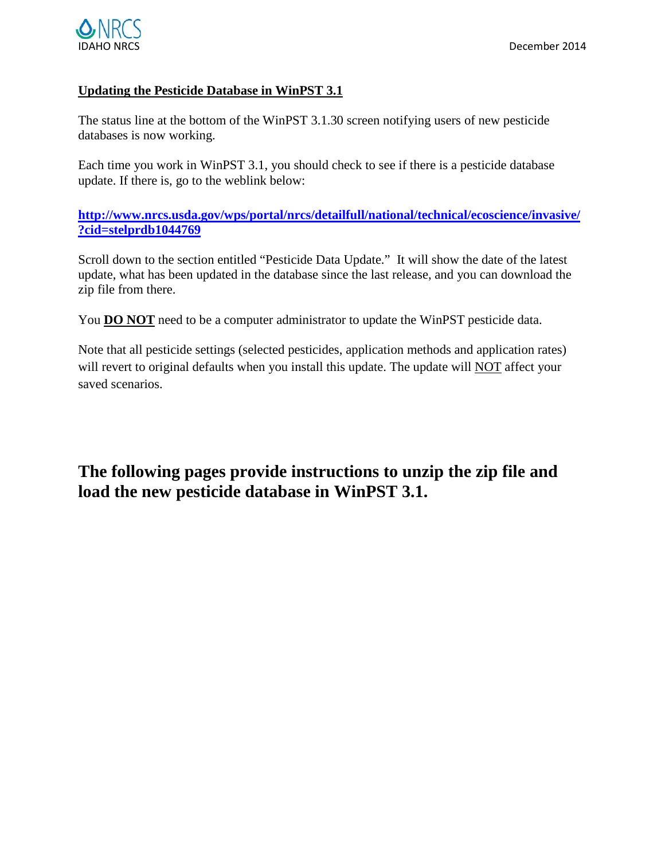

# **Updating the Pesticide Database in WinPST 3.1**

The status line at the bottom of the WinPST 3.1.30 screen notifying users of new pesticide databases is now working.

Each time you work in WinPST 3.1, you should check to see if there is a pesticide database update. If there is, go to the weblink below:

**[http://www.nrcs.usda.gov/wps/portal/nrcs/detailfull/national/technical/ecoscience/invasive/](http://www.nrcs.usda.gov/wps/portal/nrcs/detailfull/national/technical/ecoscience/invasive/?cid=stelprdb1044769) [?cid=stelprdb1044769](http://www.nrcs.usda.gov/wps/portal/nrcs/detailfull/national/technical/ecoscience/invasive/?cid=stelprdb1044769)**

Scroll down to the section entitled "Pesticide Data Update." It will show the date of the latest update, what has been updated in the database since the last release, and you can download the zip file from there.

You **DO NOT** need to be a computer administrator to update the WinPST pesticide data.

Note that all pesticide settings (selected pesticides, application methods and application rates) will revert to original defaults when you install this update. The update will NOT affect your saved scenarios.

**The following pages provide instructions to unzip the zip file and load the new pesticide database in WinPST 3.1.**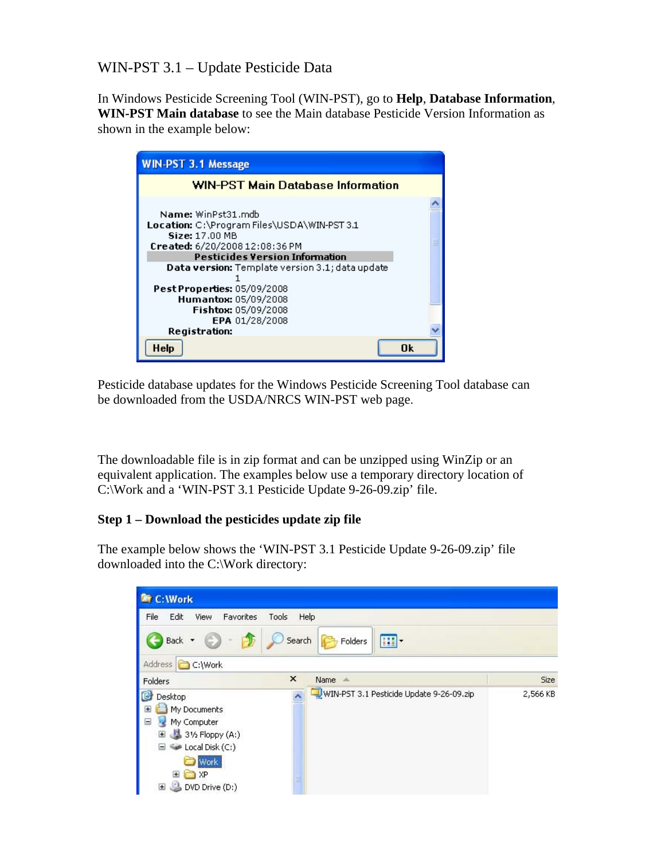WIN-PST 3.1 – Update Pesticide Data

In Windows Pesticide Screening Tool (WIN-PST), go to **Help**, **Database Information**, **WIN-PST Main database** to see the Main database Pesticide Version Information as shown in the example below:

| <b>WIN-PST 3.1 Message</b>                                                                                                                                                                                               |  |
|--------------------------------------------------------------------------------------------------------------------------------------------------------------------------------------------------------------------------|--|
| <b>WIN-PST Main Database Information</b>                                                                                                                                                                                 |  |
| Name: WinPst31.mdb<br>Location: C:\Program Files\USDA\WIN-PST 3.1<br>Size: 17.00 MB<br>Created: 6/20/2008 12:08:36 PM<br><b>Pesticides Version Information</b><br><b>Data version:</b> Template version 3.1; data update |  |
| <b>Pest Properties: 05/09/2008</b><br>Humantox: 05/09/2008<br>Fishtox: 05/09/2008<br>EPA 01/28/2008<br>Registration:                                                                                                     |  |
| Πk<br>Help                                                                                                                                                                                                               |  |

Pesticide database updates for the Windows Pesticide Screening Tool database can be downloaded from the USDA/NRCS WIN-PST web page.

The downloadable file is in zip format and can be unzipped using WinZip or an equivalent application. The examples below use a temporary directory location of C:\Work and a 'WIN-PST 3.1 Pesticide Update 9-26-09.zip' file.

## **Step 1 – Download the pesticides update zip file**

The example below shows the 'WIN-PST 3.1 Pesticide Update 9-26-09.zip' file downloaded into the C:\Work directory:

| C: Work                                                                                                                                                                                       |        |                                          |          |
|-----------------------------------------------------------------------------------------------------------------------------------------------------------------------------------------------|--------|------------------------------------------|----------|
| File<br>Edit<br>View<br>Favorites                                                                                                                                                             | Tools  | Help                                     |          |
| Back +                                                                                                                                                                                        | Search | $\mathbf{m}$ .<br>Folders                |          |
| Address<br>C:\Work                                                                                                                                                                            |        |                                          |          |
| Folders                                                                                                                                                                                       | ×      | Name -                                   | Size     |
| ß<br>Desktop<br>My Documents<br>$\pm$<br>My Computer<br>$=$<br>$31$ 3 <sup>1</sup> / <sub>2</sub> Floppy (A:)<br>田<br>Local Disk (C:)<br>ا=ا<br><b>Work</b><br>Œ<br>XP<br>DVD Drive (D:)<br>Œ | ≣      | WIN-PST 3.1 Pesticide Update 9-26-09.zip | 2,566 KB |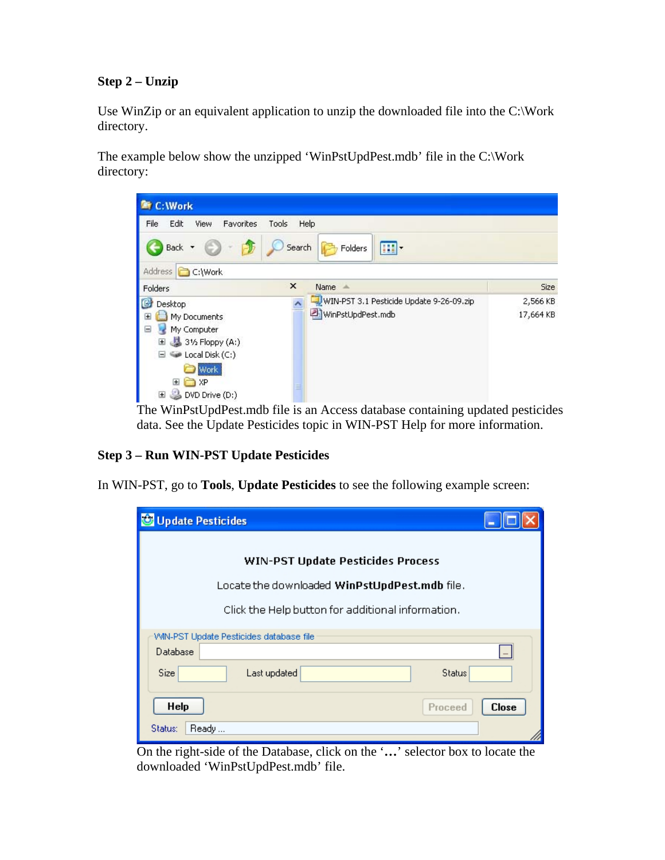# **Step 2 – Unzip**

Use WinZip or an equivalent application to unzip the downloaded file into the C:\Work directory.

The example below show the unzipped 'WinPstUpdPest.mdb' file in the C:\Work directory:



The WinPstUpdPest.mdb file is an Access database containing updated pesticides data. See the Update Pesticides topic in WIN-PST Help for more information.

## **Step 3 – Run WIN-PST Update Pesticides**

In WIN-PST, go to **Tools**, **Update Pesticides** to see the following example screen:

| Update Pesticides                                 |              |
|---------------------------------------------------|--------------|
| <b>WIN-PST Update Pesticides Process</b>          |              |
| Locate the downloaded WinPstUpdPest.mdb file.     |              |
| Click the Help button for additional information. |              |
| VVIN-PST Update Pesticides database file          |              |
| Database                                          |              |
| Size<br>Last updated<br><b>Status</b>             |              |
| Help<br>Proceed                                   | <b>Close</b> |
| Status:<br>Ready                                  |              |

On the right-side of the Database, click on the '**…**' selector box to locate the downloaded 'WinPstUpdPest.mdb' file.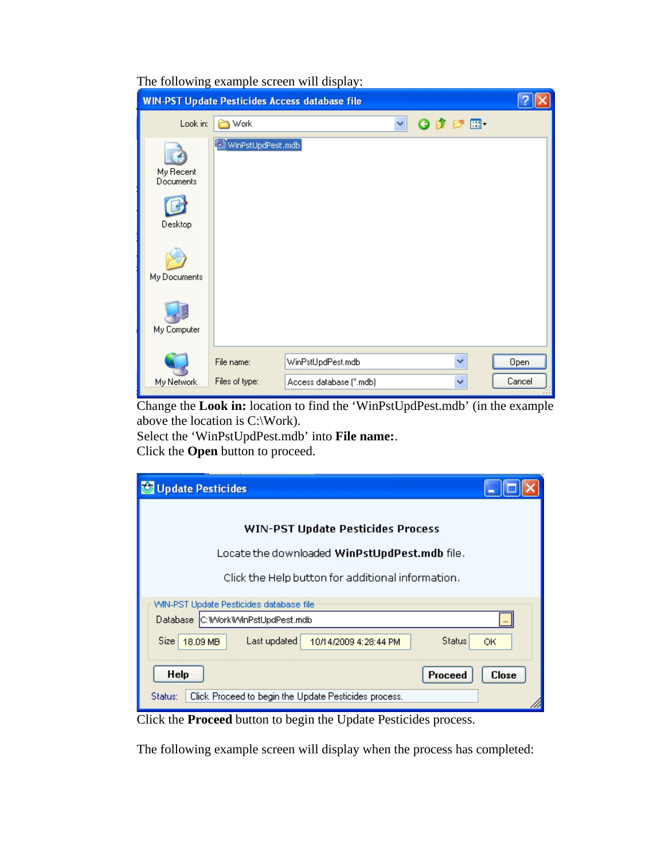| The following example screen will display: |  |  |  |  |
|--------------------------------------------|--|--|--|--|
|--------------------------------------------|--|--|--|--|

|                        |                   | <b>WIN-PST Update Pesticides Access database file</b> |   |                 |   |        |
|------------------------|-------------------|-------------------------------------------------------|---|-----------------|---|--------|
| Look in:               | Work              |                                                       | v | $O$ $D$ $P$ $E$ |   |        |
| My Recent<br>Documents | WinPstUpdPest.mdb |                                                       |   |                 |   |        |
| Desktop                |                   |                                                       |   |                 |   |        |
| My Documents           |                   |                                                       |   |                 |   |        |
| My Computer            |                   |                                                       |   |                 |   |        |
|                        | File name:        | WinPstUpdPest.mdb                                     |   |                 | v | Open   |
| My Network             | Files of type:    | Access database (".mdb)                               |   |                 | v | Cancel |

Change the **Look in:** location to find the 'WinPstUpdPest.mdb' (in the example above the location is C:\Work).

Select the 'WinPstUpdPest.mdb' into **File name:**. Click the **Open** button to proceed.

| Update Pesticides                                                                                                                           |              |  |  |  |
|---------------------------------------------------------------------------------------------------------------------------------------------|--------------|--|--|--|
| <b>WIN-PST Update Pesticides Process</b>                                                                                                    |              |  |  |  |
| Locate the downloaded WinPstUpdPest.mdb file.                                                                                               |              |  |  |  |
| Click the Help button for additional information.                                                                                           |              |  |  |  |
| WIN-PST Update Pesticides database file                                                                                                     |              |  |  |  |
| Database C:WorkWVinPstUpdPest.mdb                                                                                                           |              |  |  |  |
| Size:<br>Last updated<br><b>Status</b><br>18.09 MB<br>10/14/2009 4:28:44 PM                                                                 | ОК           |  |  |  |
| Help<br>Proceed                                                                                                                             | <b>Close</b> |  |  |  |
| Click Proceed to begin the Update Pesticides process.<br>Status:<br>Cliente be <b>Dreased</b> button to begin the Undete Destinides process |              |  |  |  |

Click the **Proceed** button to begin the Update Pesticides process.

The following example screen will display when the process has completed: